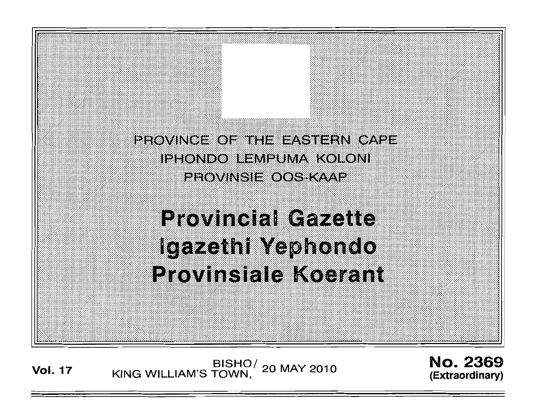PROVINCE OF THE EASTERN CAPE. **IPHONDO LEMPUMA KOLONI** PROVINSIE OOS KAAP

**Provincial Gazette** Igazethi Yephondo **Provinsiale Koerant** 

BISHO/ 20 MAY 2010<br>KING WILLIAM'S TOWN, 20 MAY 2010

**No. 2369** (Extraordinary)

**Vol. 17**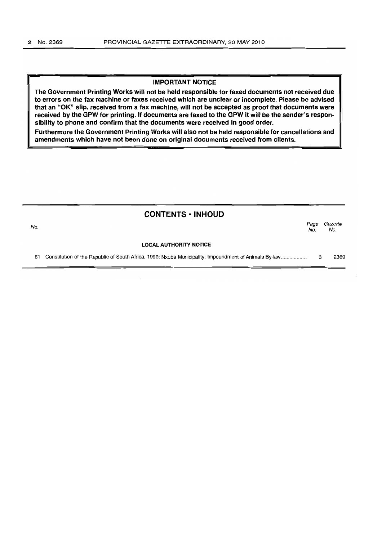#### IMPORTANT NOTICE

The Government Printing Works will not be held responsible for faxed documents not received due to errors on the fax machine or faxes received which are unclear or incomplete. Please be advised that an "OK" slip, received from a fax machine, will not be accepted as proof that documents were received by the GPW for printing. If documents are faxed to the GPW it will be the sender's respon-<br>sibility to phone and confirm that the documents were received in good order.

Furthermore the Government Printing Works will also not be held responsible for cancellations and amendments which have not been done on original documents received from clients.

|     | <b>CONTENTS · INHOUD</b>                                                                              |             |                |
|-----|-------------------------------------------------------------------------------------------------------|-------------|----------------|
| No. |                                                                                                       | Page<br>No. | Gazette<br>No. |
|     | <b>LOCAL AUTHORITY NOTICE</b>                                                                         |             |                |
| 61  | Constitution of the Republic of South Africa, 1996: Nxuba Municipality: Impoundment of Animals By-law | 3           | 2369           |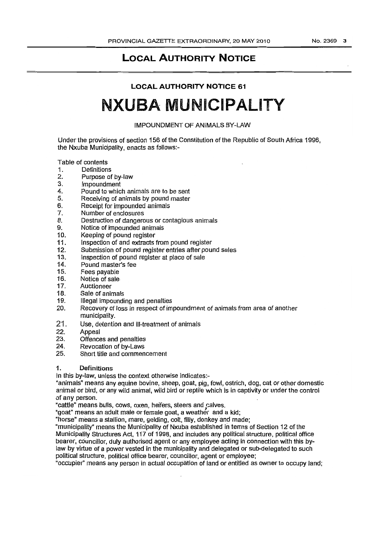# **LOCAL AUTHORITY NOTICE**

# **LOCAL AUTHORITY NOTICE 61**

# **NXUBA MUNICIPALITY**

IMPOUNDMENT OF ANIMALS BY-LAW

Under the provisions of section 156 of the Constitution of the Republic of South Africa 1996, the Nxuba Municipality, enacts as follows:-

Table of contents

- 1. Definitions
- 2. Purpose of by-law
- 3. Impoundment
- 4. Pound to which animals are to be sent
- 5. Receiving of animals by pound master
- 6. Receipt for impounded animals<br>7. Number of enclosures
- Number of enclosures
- 8. Destruction of dangerous or contagious animals<br>9. Notice of impounded animals
- 9. Notice of impounded animals<br>10. Keeping of pound register
- Keeping of pound register
- 11. Inspection of and extracts from pound register<br>12. Submission of pound register entries after pou
- Submission of pound register entries after pound sales
- 13. Inspection of pound register at place of sale 14. Pound master's fee
- 14. Pound master's fee<br>15. Fees navable
- 15. Fees payable<br>16. Notice of sale
- Notice of sale
- 17. Auctioneer<br>18. Sale of anir
- Sale of animals
- 19. Illegal impounding and penalties
- 20. Recovery of loss in respect of impoundment of animals from area of another municipality.
- 21. Use, detention and ill-treatment of animals<br>22. Appeal
- **Appeal**
- 23. Offences and penalties
- 24. Revocation of by-Laws
- 25. Short title and commencement

#### 1. Definitions

In this by-law, unless the context otherwise indicates:-

"animals" means any equine bovine, sheep, goat, pig, fowl, ostrich, dog. cat or other domestic animal or bird, or any wild animal. wild bird or reptile Which is in captivity or under the control of any person.

"cattle" means bulls, cows, oxen, heifers, steers and calves.

"goat" means an adult male or female goat, a weather and a kid;

"horse" means a stallion, mare, gelding, colt, filly, donkey and made;

"municipality" means the Municipality of Nxuba established in terms of Section 12 of the Municipality Structures Act, 117 of 199B, and includes any political structure, political office bearer, councillor, duly authorised agent or any employee acting in connection with this bylaw by virtue of a power vested in the municipality and delegated or sub-delegated to such political structure, political office bearer, councillor, agent or employee;

"occupier" means any person in actual occupation of land or entitled as owner to occupy land;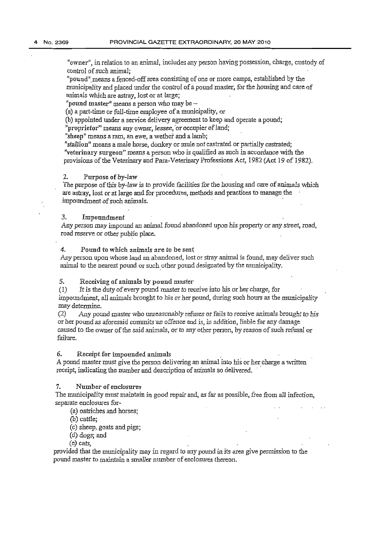"owner", in relation to an animal, includes any person having possession, charge, custody of control of such animal;

"pound" means a fenced-off area consisting of one or more camps, established by the municipality and placed under the control of a pound master, for the housing and care of animals which are astray, lost or at large;

"pound master" means a person who may be  $-$ 

(a) a part-time or full-time employee of a municipality, or

(b) appointed under a service delivery agreement to keep and operate a pound;

"proprietor" means any owner, lessee, or occupier of land;

"sheep" means a ram, an ewe, a wether and a lamb;

"stallion" means a male horse, donkey or mule not castrated or partially castrated; "veterinary surgeon" means a person who is qualified as such *in* accordance with the provisions of the Veterinary and Para-Veterinary Professions Act, 1982 (Act 19 of 1982).

#### 2. Purpose of by-law

*Tbe* purpose of this by-law is to provide facilities for the housing and care of animals which are astray, lost or at large and for procedures, methods and practices to manage the impoundment of such animals.

#### 3. Impoundment

Any person may impound an animal found abandoned upon his property or any street, road, road reserve or other public place.

4. Pound to which animals are to be sent

Any person upon whose land an abandoned, lost or stray animal is found, may deliver such animal to the nearest pound or such other pound designated by the municipality.

#### 5. Receiving of animals by pound master

(1) It is the duty of every pound 'master to receive into bis or her charge, for impoundment, all animals brought to his or her pound, during such hours as the municipality may determine.

 $(2)$  Any pound master who unreasonably refuses or fails to receive animals brought to his or her pound as aforesaid commits·an offence and is, in addition, liable for any damage caused to the owner of the said animals, or to any other person, by reason of such refusal or failure.

#### 6. Receipt for impounded animals .

A pound master must give the person delivering an animal into his or her charge a written receipt, indicating the number and description of animals so delivered.

#### 7. Number of enclosures

The mturicipality must maintain in good repair and, *as* far as possible, free from all infection, separate enclosures for-

(a) ostriches and horses;

(b) cattle;

(c) sheep, goats and pigs;

(d) dogs; and

(e) cats,

provided that the municipality may in regard to any pound in its area give permission to the pound master to maintain a smaller number of enclosures thereon.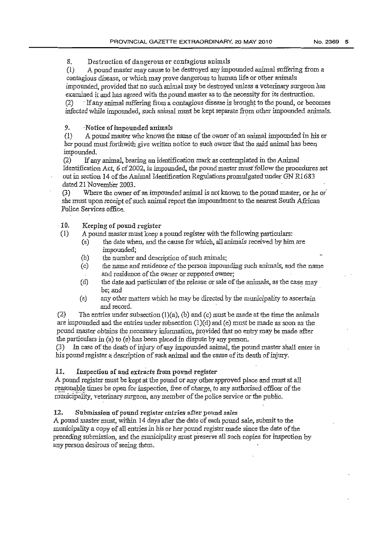8. Destruction of dangerous or contagious animals

(1) A pound master may cause to be destroyed any impounded animal suffering from a contagious disease, or which may prove dangerous to human life or other animals impounded, provided that no such animal may be destroyed unless a veterinary surgeon has examined it and has agreed with the pound master as to the necessity for its destruction.

(2) . If any animal suffering from a contagious disease is brought to the pound, or becomes infected while impounded, such animal must be kept separate from other impounded animals.

### 9. 'Notice of impounded animals

 $(1)$  A pound master who knows the name of the owner of an animal impounded in his or her pound must forthwith give written notice to such owner that the said animal has been impotmded.

(2) If any animal, bearing an identification mark as contemplated in the Animal Identification Act, 6 of 2002, is impounded, the pound master must follow the procedures set out in section 14 of the Animal Identification Regulations promulgated under GN R1683 dated 21 November 2003.

(3) Where the owner of an impounded animal is not known to the pound master, or he or' she must upon receipt of such animal report the impoundment to the nearest South African Police Services office.

#### . 10. Keeping of pound register

(1) A pound master must keep a pound register with the following particulars:

- (a) the date when, and the cause for which, all animals received by him are impounded;
- (b) the number and description of such animals;
- (c) the name and residence of the person impounding such animals, and the name and residence of the ovmer or supposed owner;
- (d) the date and particulars of the release or sale of the animals, as the case may be; and
- (e) any other matters which he may be directed by the municipality to ascertain and record.

(2) The entries under subsection (I)(a), (b) and (c) must be made attbe *time* the animals are impounded and the entries under subsection (I)(d) and (e) must be made as soon *as* the pound master obtains the necessary information, provided that no entry may be made after the particulars in (a) to (e) has been placed in dispute by any person.

(3) In case of the death of injury of any impounded animal, the pound master shall enter in his pound register a description of such animal and the cause of its death of injury.

#### 11. Inspection of and extracts from pound register

A pound register must be kept at the pound or any other approved place and must at all reasonable times be open for inspection, free of charge, *to any authorised officer of the* municipality, veterinary surgeon, any member of the police service or the public.

#### 12. Submission of pound register entries after pound *sales*

A pound master must, within 14 days after the date of each pound sale, submit to the municipality a copy of all entries in his or her pound register made since the date of the preceding submission, and the municipality must preserve all such copies for inspection by any person desirous of seeing them.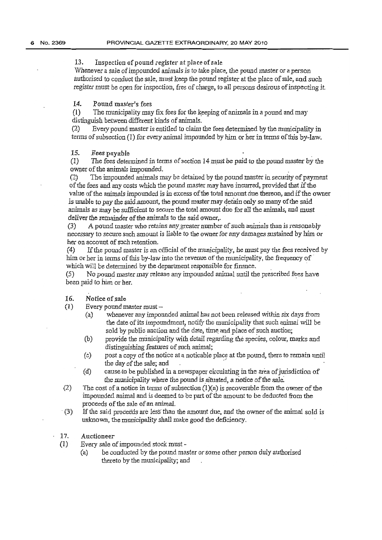13. Inspection of pound register at place of sale

Whenever a sale of impounded animals is to take place, the pound master or a person authorised to conduct the sale, must keep the pound register at the place of sale, and such register *must* be open for inspection, free of charge, to all persons desirous of inspecting it

14. Pound master's fees

 $(1)$  The municipality may fix fees for the keeping of animals in a pound and may distinguish between different kinds of animals.

(2) Every pound master is entitled to claim the fees determined by the municipality in terms of subsection (1) for every animal impounded by him or her in terms of this by-law.

#### 15. Fees payable

(1) The fees determined in terms of section 14 *m.ust* be paid to the pound master by the owner of the animals impounded. .

(2) The impounded animals may be detained by the pound master in security of payment of the fees and any costs which the pound master may have incurred, provided that if the value of the animals impounded *is* in excess of the total amount due thereon, and if the owner is unable to pay the said amount, the pound master may detain only so many of the said *animals* as may be sufficient to secure the total amount due for all the animals, and must deliver the remainder of the animals to the said owner,.

(3) A pound master who retains any. greater number of such anirrials than *is* reasonably necessary to secure such amount is liable to the owner for any damages sustained by him or her on account of such retention.

(4) If the pound master is an official of the municipality, he must pay the fees received by him or her in terms of this by-law into the revenue of the municipality, the frequency of which will be determined by the department responsible for finance.

(5) No pound master may release any impounded animal until the prescribed fees have been paid to him or her.

#### 16. Notice ofsale

 $(1)$  Every pound master must -

- (a) 'ivhenever any impounded animal has not been released \:vithin *six* days from the date of its impoundment, notify the municipality that such animal will be sold by public auction and the date, time and place of such auction; the day of the sale; and<br>
(d) the municipality that such animal will be<br>
sold by public auction and the date, time and place of such auction;<br>
(b) provide the municipality with detail regarding the species, colour, marks a
- (b) provide the municipality with detail regarding the species, colour, marks and distinguishing features of such animal;
- (c) post a copy of the notice at a noticable place at the pound, there to remain until
- the municipality where the pound is situated, a notice of the sale.
- (2) The cost of a notice in terms of subsection  $(1)(a)$  is recoverable from the owner of the impounded animal and is deemed to be part of the amount to be deducted from the proceeds of the sale of an animal.
- $(3)$  If the said proceeds are less than the amount due, and the owner of the animal sold is unknown, the municipality shall make good the deficiency.
- 17. Auctioneer
- (1) Every sale of impounded stock must
	- (a) be conducted by the pound master or some other person duly authorised thereto by the municipality; and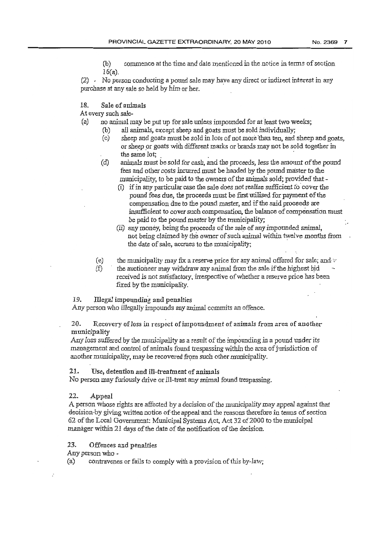(b) commence at the time and date mentioned in the notice in terms of section 16(a).

(2) , No person conducting a pound sale may have any direct or indirect interest in any purchase at any sale so held by him or her.

#### 18. Sale of animals

At every such sale~

- (a) no animal may be *put* up for sale unless impounded for at least two weeks;
	- (b) ail animals, except sheep and goats must be sold individually;
- ( c) sheep and goats must be sold in lots of not more than teo, and sheep and goats, or sheep or goats with different marks or brands may not be sold together in best conducting a potata care may have any anced or member in<br>y sale so held by him or her.<br>can imals<br>sale-<br>and may be put up for sale unless impounded for at least two w<br>all animals, except sheep and goats must be sold in
	- (d) animals must be sold for cash, and the proceeds, *less* the amount of the pound fees and other costs incurred must be handed by the pound master to the municipality, to be paid to the owners of the animals sold; provided' that-
		- (i) if in any particular case the sale does not realise sufficient to' cover the pound fees due, the proceeds must be first utilised for payment of the compensation due to the pound master, and if the said proeeeds are insufficient to cover such compensation. the balance of compensation must be paid to the pound master by the municipality;
		- (ii) any money, being the proceeds of the sale of any impounded animal, not being claimed by the owner of such animal within twelve months from the date of sale, accrues to the municipality;
	- (e) the municipality may fix a reserve price for any animal offered for sale; and  $\cdot$
	- $(f)$  the auctioneer may withdraw any animal from the sale if the highest bid received *is* not satisfactory, irrespective of whether a reserve price has been fixed by the municipality.

# 19. Illegal impounding and penalties

Any person who illegally impounds any animal commits an offence.

#### 20. Recovery of loss in respect of impoundment of animals from area of another municipality

Any loss suffered by the municipality as a result of the impounding in a pound under *its* management and control of animals found trespassing within the area of jurisdiction of another municipality, may be recovered from such other municipality.

#### 21. Use, detention and ill-treatment of animals

No person may furiously drive or ill-treat any animal found trespassing.

# 22. Appeal

A person whose rights are affected by a decision of the municipality may appeal against that deeision-by giving written notice of-the appeal-and the reasons therefore in terms of section  $62$  of the Local Government: Municipal Systems Act, Act 32 of 2000 to the municipal manager within 21 days of the date of the notification of the decision.

23. Offences and penalties

Any person who -

(a) contravenes or fails to comply with a provision of this by-law;